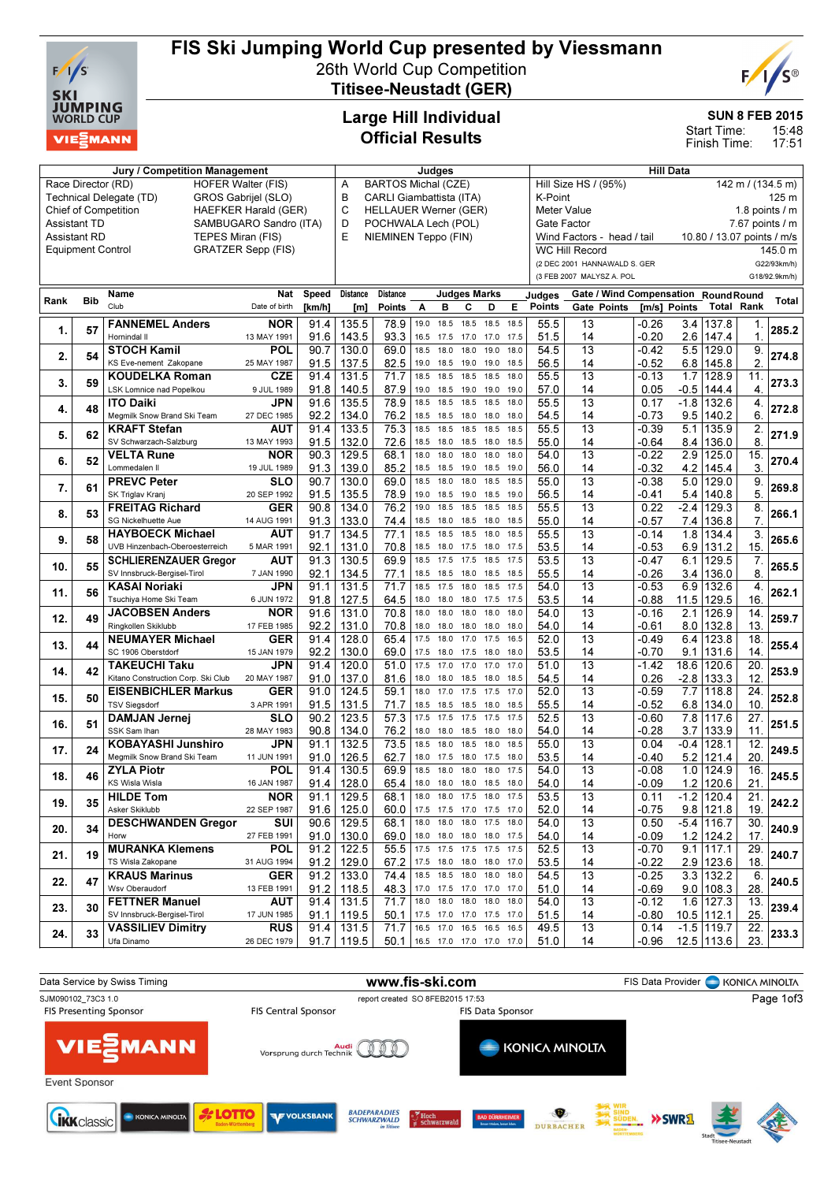

# FIS Ski Jumping World Cup presented by Viessmann

26th World Cup Competition Titisee-Neustadt (GER)



SUN 8 FEB 2015

15:48 17:51 Start Time: Finish Time:

## Large Hill Individual Official Results

| Jury / Competition Management                                          |                          |                                                      |                           |              |                 | Judges                            |              |                               |           |                |      | <b>Hill Data</b>                             |                              |                                 |               |                            |                   |               |
|------------------------------------------------------------------------|--------------------------|------------------------------------------------------|---------------------------|--------------|-----------------|-----------------------------------|--------------|-------------------------------|-----------|----------------|------|----------------------------------------------|------------------------------|---------------------------------|---------------|----------------------------|-------------------|---------------|
| Race Director (RD)<br><b>HOFER Walter (FIS)</b><br>GROS Gabrijel (SLO) |                          |                                                      |                           |              |                 | <b>BARTOS Michal (CZE)</b><br>Α   |              |                               |           |                |      | Hill Size HS / (95%)<br>142 m / (134.5 m)    |                              |                                 |               |                            |                   |               |
|                                                                        | Technical Delegate (TD)  | B<br>CARLI Giambattista (ITA)                        |                           |              |                 |                                   |              | K-Point<br>125 <sub>m</sub>   |           |                |      |                                              |                              |                                 |               |                            |                   |               |
| <b>Chief of Competition</b><br><b>HAEFKER Harald (GER)</b>             |                          |                                                      |                           |              |                 | C<br><b>HELLAUER Werner (GER)</b> |              |                               |           |                |      | <b>Meter Value</b><br>1.8 points $\sqrt{}$ m |                              |                                 |               |                            |                   |               |
| SAMBUGARO Sandro (ITA)<br><b>Assistant TD</b>                          |                          |                                                      |                           |              |                 | D<br>POCHWALA Lech (POL)          |              |                               |           |                |      | Gate Factor<br>$7.67$ points $/ m$           |                              |                                 |               |                            |                   |               |
|                                                                        | <b>Assistant RD</b>      | TEPES Miran (FIS)                                    |                           |              | E               | NIEMINEN Teppo (FIN)              |              |                               |           |                |      |                                              | Wind Factors - head / tail   |                                 |               | 10.80 / 13.07 points / m/s |                   |               |
|                                                                        | <b>Equipment Control</b> |                                                      | <b>GRATZER Sepp (FIS)</b> |              |                 |                                   |              |                               |           |                |      |                                              | <b>WC Hill Record</b>        |                                 |               |                            |                   | 145.0 m       |
|                                                                        |                          |                                                      |                           |              |                 |                                   |              |                               |           |                |      |                                              | (2 DEC 2001 HANNAWALD S. GER |                                 |               |                            |                   | G22/93km/h)   |
|                                                                        |                          |                                                      |                           |              |                 |                                   |              |                               |           |                |      |                                              | (3 FEB 2007 MALYSZ A. POL    |                                 |               |                            |                   | G18/92.9km/h) |
|                                                                        |                          |                                                      |                           |              |                 |                                   |              |                               |           |                |      |                                              |                              |                                 |               |                            |                   |               |
| Rank                                                                   | <b>Bib</b>               | <b>Name</b>                                          | <b>Nat</b>                | <b>Speed</b> | <b>Distance</b> | <b>Distance</b>                   |              | <b>Judges Marks</b>           |           |                |      | Judges                                       |                              | <b>Gate / Wind Compensation</b> |               | <b>RoundRound</b>          |                   | Total         |
|                                                                        |                          | Club                                                 | Date of birth             | [km/h]       | [m]             | <b>Points</b>                     | A            | в                             | C         | D              | Е    | <b>Points</b>                                | Gate Points                  | [m/s] Points                    |               | <b>Total Rank</b>          |                   |               |
| 1.                                                                     | 57                       | <b>FANNEMEL Anders</b>                               | <b>NOR</b>                | 91.4         | 135.5           | 78.9                              | 19.0         | 18.5                          | 18.5      | 18.5           | 18.5 | 55.5                                         | 13                           | -0.26                           | 3.4           | 137.8                      | 1.                | 285.2         |
|                                                                        |                          | Hornindal II                                         | 13 MAY 1991               | 91.6         | 143.5           | 93.3                              | 16.5         | 17.5                          | 17.0      | 17.0           | 17.5 | 51.5                                         | 14                           | -0.20                           | 2.6           | 147.4                      | $\mathbf{1}$      |               |
|                                                                        |                          | <b>STOCH Kamil</b>                                   | POL                       | 90.7         | 130.0           | 69.0                              | 18.5         | 18.0                          | 18.0      | 19.0           | 18.0 | 54.5                                         | $\overline{13}$              | -0.42                           | 5.5           | 129.0                      | 9.                |               |
| 2.                                                                     | 54                       | KS Eve-nement Zakopane                               | 25 MAY 1987               | 91.5         | 137.5           | 82.5                              | 19.0         | 18.5                          | 19.0      | 19.0           | 18.5 | 56.5                                         | 14                           | -0.52                           | 6.8           | 145.8                      | $\overline{2}$    | 274.8         |
|                                                                        |                          | <b>KOUDELKA Roman</b>                                | CZE                       | 91.4         | 131.5           | 71.7                              | 18.5         | 18.5                          | 18.5      | 18.5           | 18.0 | 55.5                                         | 13                           | -0.13                           | 1.7           | 128.9                      | 11.               |               |
| 3.                                                                     | 59                       | LSK Lomnice nad Popelkou                             | 9 JUL 1989                | 91.8         | 140.5           | 87.9                              | 19.0         | 18.5                          | 19.0      | 19.0           | 19.0 | 57.0                                         | 14                           | 0.05                            | $-0.5$        | 144.4                      | 4.                | 273.3         |
|                                                                        |                          | <b>ITO Daiki</b>                                     | JPN                       | 91.6         | 135.5           | 78.9                              | 18.5         | 18.5                          | 18.5      | 18.5           | 18.0 | 55.5                                         | 13                           | 0.17                            | $-1.8$        | 132.6                      | 4.                |               |
| 4.                                                                     | 48                       | Megmilk Snow Brand Ski Team                          | 27 DEC 1985               | 92.2         | 134.0           | 76.2                              | 18.5         | 18.5                          | 18.0      | 18.0           | 18.0 | 54.5                                         | 14                           | -0.73                           | 9.5           | 140.2                      | 6.                | 272.8         |
|                                                                        |                          | <b>KRAFT Stefan</b>                                  | AUT                       | 91.4         | 133.5           | 75.3                              | 18.5         | 18.5                          | 18.5      | 18.5           | 18.5 | 55.5                                         | 13                           | -0.39                           | 5.1           | 135.9                      | 2.                |               |
| 5.                                                                     | 62                       | SV Schwarzach-Salzburg                               | 13 MAY 1993               | 91.5         | 132.0           | 72.6                              | 18.5         | 18.0                          | 18.5      | 18.0           | 18.5 | 55.0                                         | 14                           | -0.64                           | 8.4           | 136.0                      | 8                 | 271.9         |
|                                                                        |                          | <b>VELTA Rune</b>                                    | NOR                       | 90.3         | 129.5           | 68.1                              | 18.0         | 18.0                          | 18.0      | 18.0           | 18.0 | 54.0                                         | $\overline{13}$              | -0.22                           | 2.9           | 125.0                      | 15.               |               |
| 6.                                                                     | 52                       | Lommedalen II                                        | 19 JUL 1989               | 91.3         | 139.0           | 85.2                              | 18.5         | 18.5                          | 19.0      | 18.5           | 19.0 | 56.0                                         | 14                           | -0.32                           | 4.2           | 145.4                      | 3.                | 270.4         |
|                                                                        |                          | <b>PREVC Peter</b>                                   | <b>SLO</b>                | 90.7         | 130.0           | 69.0                              | 18.5         | 18.0                          | 18.0      | 18.5           | 18.5 | 55.0                                         | $\overline{13}$              | -0.38                           | 5.0           | 129.0                      | 9.                |               |
| 7.                                                                     | 61                       | SK Triglav Kranj                                     | 20 SEP 1992               |              |                 |                                   | 19.0         | 18.5                          | 19.0      | 18.5           | 19.0 |                                              |                              |                                 |               |                            | 5.                | 269.8         |
|                                                                        |                          |                                                      |                           | 91.5         | 135.5           | 78.9<br>76.2                      | 19.0         | 18.5                          | 18.5      | 18.5           | 18.5 | 56.5<br>55.5                                 | 14<br>$\overline{13}$        | -0.41                           | 5.4<br>$-2.4$ | 140.8<br>129.3             |                   |               |
| 8.                                                                     | 53                       | <b>FREITAG Richard</b><br><b>SG Nickelhuette Aue</b> | <b>GER</b>                | 90.8         | 134.0           |                                   |              |                               |           |                | 18.5 |                                              |                              | 0.22                            |               |                            | 8.                | 266.1         |
|                                                                        |                          |                                                      | 14 AUG 1991               | 91.3         | 133.0           | 74.4                              | 18.5<br>18.5 | 18.0                          | 18.5      | 18.0           |      | 55.0                                         | 14<br>$\overline{13}$        | -0.57                           | 7.4           | 136.8                      | $\overline{7}$    |               |
| 9.                                                                     | 58                       | <b>HAYBOECK Michael</b>                              | AUT                       | 91.7         | 134.5           | 77.1                              |              | 18.5                          | 18.5      | 18.0           | 18.5 | 55.5                                         |                              | -0.14                           | 1.8           | 134.4                      | 3.                | 265.6         |
|                                                                        |                          | UVB Hinzenbach-Oberoesterreich                       | 5 MAR 1991                | 92.1         | 131.0           | 70.8                              | 18.5         | 18.0                          | 17.5      | 18.0           | 17.5 | 53.5                                         | 14                           | $-0.53$                         | 6.9           | 131.2                      | 15                |               |
| 10.                                                                    | 55                       | <b>SCHLIERENZAUER Gregor</b>                         | AUT                       | 91.3         | 130.5           | 69.9                              | 18.5         | 17.5                          | 17.5      | 18.5           | 17.5 | 53.5                                         | 13                           | -0.47                           | 6.1           | 129.5                      | 7.                | 265.5         |
|                                                                        |                          | SV Innsbruck-Bergisel-Tirol                          | 7 JAN 1990                | 92.1         | 134.5           | 77.1                              | 18.5         | 18.5                          | 18.0      | 18.5           | 18.5 | 55.5                                         | 14                           | -0.26                           | 3.4           | 136.0                      | 8                 |               |
| 11.                                                                    | 56                       | <b>KASAI Noriaki</b>                                 | JPN                       | 91.1         | 131.5           | 71.7                              | 18.5         | 17.5                          | 18.0      | 18.5           | 17.5 | 54.0                                         | 13                           | $-0.53$                         | 6.9           | 132.6                      | 4.                | 262.1         |
|                                                                        |                          | Tsuchiya Home Ski Team                               | 6 JUN 1972                | 91.8         | 127.5           | 64.5                              | 18.0         | 18.0                          | 18.0      | 17.5           | 17.5 | 53.5                                         | 14                           | -0.88                           | 11.5          | 129.5                      | 16                |               |
| 12.                                                                    | 49                       | <b>JACOBSEN Anders</b>                               | NOR                       | 91.6         | 131.0           | 70.8                              | 18.0         | 18.0                          | 18.0      | 18.0           | 18.0 | 54.0                                         | 13                           | $-0.16$                         | 2.1           | 126.9                      | 14.               | 259.7         |
|                                                                        |                          | Ringkollen Skiklubb                                  | 17 FEB 1985               | 92.2         | 131.0           | 70.8                              | 18.0         | 18.0                          | 18.0      | 18.0           | 18.0 | 54.0                                         | 14                           | -0.61                           | 8.0           | 132.8                      | 13.               |               |
| 13.                                                                    | 44                       | <b>NEUMAYER Michael</b>                              | GER                       | 91.4         | 128.0           | 65.4                              | 17.5         | 18.0                          | 17.0      | 17.5           | 16.5 | 52.0                                         | 13                           | -0.49                           | 6.4           | 123.8                      | 18                | 255.4         |
|                                                                        |                          | SC 1906 Oberstdorf                                   | 15 JAN 1979               | 92.2         | 130.0           | 69.0                              | 17.5         | 18.0                          | 17.5      | 18.0           | 18.0 | 53.5                                         | 14                           | -0.70                           | 9.1           | 131.6                      | 14                |               |
| 14.                                                                    | 42                       | <b>TAKEUCHI Taku</b>                                 | JPN                       | 91.4         | 120.0           | 51.0                              | 17.5         | 17.0                          | 17.0      | 17.0           | 17.0 | 51.0                                         | 13                           | $-1.42$                         | 18.6          | 120.6                      | $\overline{20}$   | 253.9         |
|                                                                        |                          | Kitano Construction Corp. Ski Club                   | 20 MAY 1987               | 91.0         | 137.0           | 81.6                              | 18.0         | 18.0                          | 18.5      | 18.0           | 18.5 | 54.5                                         | 14                           | 0.26                            | $-2.8$        | 133.3                      | 12.               |               |
| 15.                                                                    | 50                       | <b>EISENBICHLER Markus</b>                           | <b>GER</b>                | 91.0         | 124.5           | 59.1                              | 18.0         | 17.0                          | 17.5      | 17.5           | 17.0 | 52.0                                         | $\overline{13}$              | -0.59                           | 7.7           | 118.8                      | $\overline{24}$   | 252.8         |
|                                                                        |                          | <b>TSV Siegsdorf</b>                                 | 3 APR 1991                | 91.5         | 131.5           | 71.7                              | 18.5         | 18.5                          | 18.5      | 18.0           | 18.5 | 55.5                                         | 14                           | -0.52                           | 6.8           | 134.0                      | 10.               |               |
| 16.                                                                    | 51                       | <b>DAMJAN Jernej</b>                                 | <b>SLO</b>                | 90.2         | 123.5           | 57.3                              | 17.5         | 17.5                          | 17.5      | 17.5           | 17.5 | 52.5                                         | $\overline{13}$              | $-0.60$                         | 7.8           | 117.6                      | $\overline{27}$ . | 251.5         |
|                                                                        |                          | SSK Sam Ihan                                         | 28 MAY 1983               | 90.8         | 134.0           | 76.2                              | 18.0         | 18.0                          | 18.5 18.0 |                | 18.0 | 54.0                                         | 14                           | -0.28                           |               | 3.7 133.9                  | 11.               |               |
| 17.                                                                    | 24                       | <b>KOBAYASHI Junshiro</b>                            | JPN                       | 91.1         | 132.5           | 73.5                              | 18.5         | 18.0                          | 18.5      | 18.0           | 18.5 | 55.0                                         | $\overline{13}$              | 0.04                            | $-0.4$        | 128.1                      | $\overline{12}$ . | 249.5         |
|                                                                        |                          | Megmilk Snow Brand Ski Team                          | 11 JUN 1991               | 91.0         | 126.5           | 62.7                              |              | 18.0 17.5                     |           | 18.0 17.5 18.0 |      | 53.5                                         | 14                           | -0.40                           | 5.2           | 121.4                      | 20                |               |
| 18.                                                                    | 46                       | <b>ZYLA Piotr</b>                                    | POL                       | 91.4         | 130.5           | 69.9                              | 18.5         | 18.0                          | 18.0      | 18.0           | 17.5 | 54.0                                         | $\overline{13}$              | $-0.08$                         | 1.0           | 124.9                      | 16.               | 245.5         |
|                                                                        |                          | <b>KS Wisla Wisla</b>                                | 16 JAN 1987               | 91.4         | 128.0           | 65.4                              |              | 18.0 18.0 18.0 18.5 18.0      |           |                |      | 54.0                                         | 14                           | -0.09                           |               | $1.2$ 120.6                | 21.               |               |
|                                                                        |                          | <b>HILDE Tom</b>                                     | <b>NOR</b>                |              | $91.1$ 129.5    | 68.1                              |              | 18.0 18.0 17.5 18.0 17.5      |           |                |      | 53.5                                         | $\overline{13}$              | 0.11                            |               | $-1.2$ 120.4               | $\overline{21}$   |               |
| 19.                                                                    | 35                       | Asker Skiklubb                                       | 22 SEP 1987               |              | $91.6$   125.0  |                                   |              | 60.0 17.5 17.5 17.0 17.5 17.0 |           |                |      | 52.0                                         | 14                           | $-0.75$                         |               | $9.8$ 121.8                | 19.               | 242.2         |
|                                                                        |                          | <b>DESCHWANDEN Gregor</b>                            | SUI                       | 90.6         | 129.5           | 68.1                              |              | 18.0 18.0 18.0 17.5 18.0      |           |                |      | 54.0                                         | 13                           | 0.50                            |               | $-5.4$ 116.7               | 30.               |               |
| 20.                                                                    | 34                       | Horw                                                 | 27 FEB 1991               | 91.0         | 130.0           | 69.0                              |              | 18.0 18.0 18.0 18.0 17.5      |           |                |      | 54.0                                         | 14                           | -0.09                           |               | $1.2$ 124.2                | 17.               | 240.9         |
|                                                                        |                          | <b>MURANKA Klemens</b>                               | <b>POL</b>                | 91.2         | 122.5           | 55.5                              |              | 17.5 17.5 17.5 17.5 17.5      |           |                |      | 52.5                                         | 13                           | -0.70                           |               | $9.1$ 117.1                | 29.               |               |
| 21.                                                                    | 19                       | TS Wisla Zakopane                                    | 31 AUG 1994               | 91.2         | 129.0           | 67.2                              |              | 17.5 18.0 18.0 18.0 17.0      |           |                |      | 53.5                                         | 14                           | $-0.22$                         |               | $2.9$ 123.6                | 18.               | 240.7         |
|                                                                        |                          | <b>KRAUS Marinus</b>                                 | <b>GER</b>                |              | $91.2$   133.0  | 74.4                              |              | 18.5 18.5 18.0 18.0 18.0      |           |                |      | 54.5                                         | 13                           | -0.25                           |               | $3.3$   132.2              | 6.                |               |
| 22.                                                                    | 47                       | Wsv Oberaudorf                                       | 13 FEB 1991               | 91.2         | 118.5           | 48.3                              |              | 17.0 17.5 17.0 17.0 17.0      |           |                |      | 51.0                                         | 14                           | $-0.69$                         |               | $9.0$   108.3              | 28.               | 240.5         |
|                                                                        |                          | <b>FETTNER Manuel</b>                                | AUT                       | 91.4         | 131.5           | 71.7                              |              | 18.0 18.0 18.0 18.0 18.0      |           |                |      | 54.0                                         | 13                           | -0.12                           |               | $1.6$   127.3              | 13.               |               |
| 23.                                                                    | 30                       | SV Innsbruck-Bergisel-Tirol                          | 17 JUN 1985               | 91.1         | 119.5           | 50.1                              |              | 17.5 17.0 17.0 17.5 17.0      |           |                |      | 51.5                                         | 14                           | -0.80                           |               | $10.5$   112.1             | 25.               | 239.4         |
|                                                                        |                          | <b>VASSILIEV Dimitry</b>                             | <b>RUS</b>                |              | $91.4$   131.5  | 71.7                              |              | 16.5 17.0 16.5 16.5 16.5      |           |                |      | 49.5                                         | 13                           | 0.14                            |               | $-1.5$ 119.7               | 22.               |               |
| 24.                                                                    | 33                       | Ufa Dinamo                                           | 26 DEC 1979               |              | $91.7$   119.5  | 50.1                              |              | 16.5 17.0 17.0 17.0 17.0      |           |                |      | 51.0                                         | 14                           | $-0.96$                         |               | 12.5 113.6                 | 23.               | 233.3         |
|                                                                        |                          |                                                      |                           |              |                 |                                   |              |                               |           |                |      |                                              |                              |                                 |               |                            |                   |               |

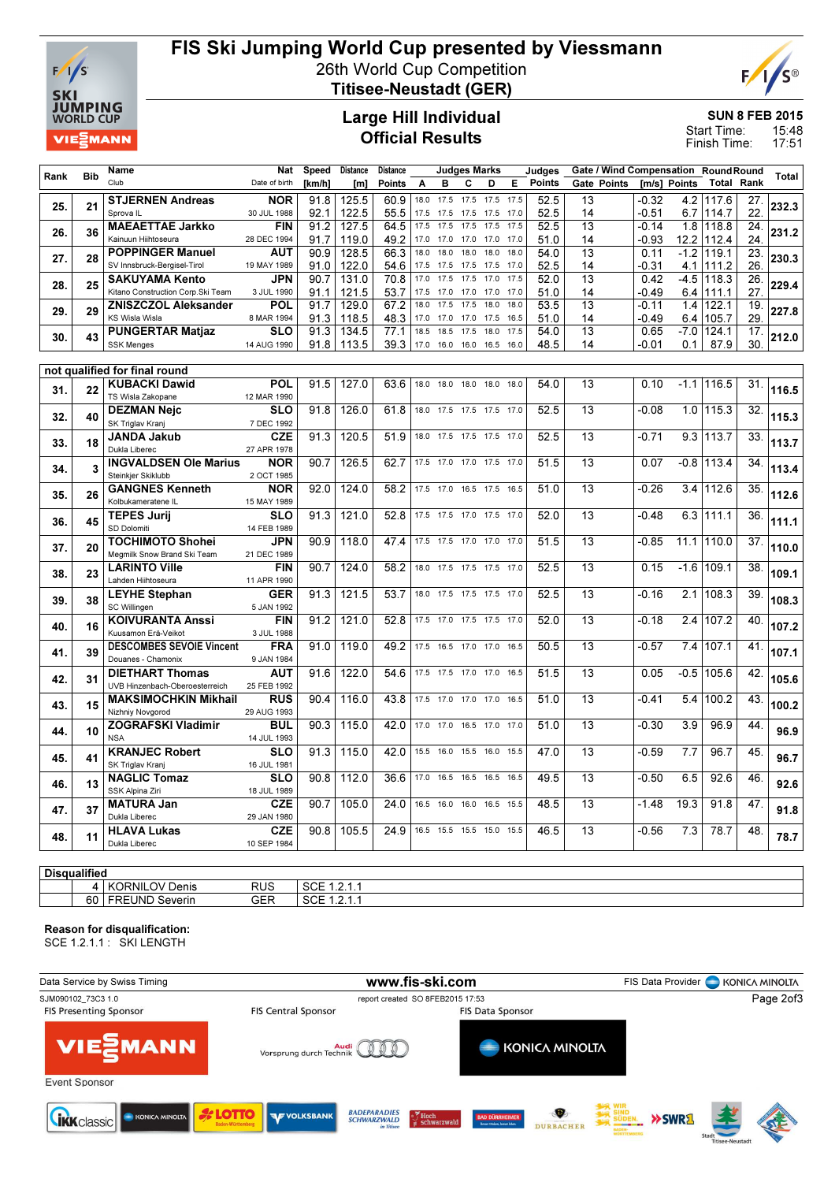

## FIS Ski Jumping World Cup presented by Viessmann

26th World Cup Competition



Titisee-Neustadt (GER)

### Large Hill Individual Official Results

SUN 8 FEB 2015

15:48 17:51 Start Time: Finish Time:

|      |                         | Name                                                   | Nat                       | Speed  | <b>Distance</b> | <b>Distance</b> |      |           | <b>Judges Marks</b> |                          |      | Judges        |                 | Gate / Wind Compensation RoundRound |              |              |                 |       |
|------|-------------------------|--------------------------------------------------------|---------------------------|--------|-----------------|-----------------|------|-----------|---------------------|--------------------------|------|---------------|-----------------|-------------------------------------|--------------|--------------|-----------------|-------|
| Rank | <b>Bib</b>              | Club                                                   | Date of birth             | [km/h] | [m]             | Points          | A    | в         | с                   | D                        | Е    | <b>Points</b> |                 | Gate Points                         | [m/s] Points | Total        | Rank            | Total |
|      |                         | <b>STJERNEN Andreas</b>                                | <b>NOR</b>                | 91.8   | 125.5           | 60.9            | 18.0 | 17.5      | 17.5                | 17.5                     | 17.5 | 52.5          | 13              | $-0.32$                             | 4.2          | 117.6        | 27.             |       |
| 25.  | 21                      | Sprova <sub>IL</sub>                                   | 30 JUL 1988               | 92.1   | 122.5           | 55.5            | 17.5 | 17.5      | 17.5                | 17.5                     | 17.0 | 52.5          | 14              | $-0.51$                             | 6.7          | 114.7        | 22.             | 232.3 |
|      |                         | <b>MAEAETTAE Jarkko</b>                                | <b>FIN</b>                | 91.2   | 127.5           | 64.5            | 17.5 | 17.5      | 17.5                | 17.5                     | 17.5 | 52.5          | $\overline{13}$ | $-0.14$                             |              | 1.8 118.8    | $\overline{24}$ |       |
| 26.  | 36                      | Kainuun Hiihtoseura                                    | 28 DEC 1994               | 91.7   | 119.0           | 49.2            | 17.0 | 17.0      | 17.0                | 17.0                     | 17.0 | 51.0          | 14              | $-0.93$                             |              | 12.2 112.4   | 24.             | 231.2 |
| 27.  | 28                      | <b>POPPINGER Manuel</b>                                | AUT                       | 90.9   | 128.5           | 66.3            | 18.0 | 18.0      | 18.0                | 18.0                     | 18.0 | 54.0          | $\overline{13}$ | 0.11                                | $-1.2$       | 119.1        | $\overline{23}$ | 230.3 |
|      |                         | SV Innsbruck-Bergisel-Tirol                            | 19 MAY 1989               | 91.0   | 122.0           | 54.6            | 17.5 | 17.5      | 17.5                | 17.5                     | 17.0 | 52.5          | 14              | $-0.31$                             | 4.1          | 111.2        | 26.             |       |
| 28.  | 25                      | <b>SAKUYAMA Kento</b>                                  | <b>JPN</b>                | 90.7   | 131.0           | 70.8            | 17.0 | 17.5      | 17.5                | 17.0                     | 17.5 | 52.0          | 13              | 0.42                                | $-4.5$       | 118.3        | 26.             | 229.4 |
|      |                         | Kitano Construction Corp. Ski Team                     | 3 JUL 1990                | 91.1   | 121.5           | 53.7            | 17.5 | 17.0      | 17.0                | 17.0                     | 17.0 | 51.0          | 14              | $-0.49$                             |              | $6.4$ 1111.1 | 27.             |       |
| 29.  | 29                      | <b>ZNISZCZOL Aleksander</b>                            | <b>POL</b>                | 91.7   | 129.0           | 67.2            | 18.0 | 17.5      | 17.5                | 18.0                     | 18.0 | 53.5          | 13              | $-0.11$                             | 1.4          | 122.1        | 19.             | 227.8 |
|      |                         | <b>KS Wisla Wisla</b>                                  | 8 MAR 1994                | 91.3   | 118.5           | 48.3            | 17.0 | 17.0      | 17.0                | 17.5                     | 16.5 | 51.0          | 14              | -0.49                               |              | 6.4 105.7    | 29.             |       |
| 30.  | 43                      | <b>PUNGERTAR Matjaz</b>                                | <b>SLO</b>                | 91.3   | 134.5           | 77.1            | 18.5 | 18.5      | 17.5                | 18.0                     | 17.5 | 54.0          | 13              | 0.65                                | $-7.0$       | 124.1        | 17.             | 212.0 |
|      |                         | <b>SSK Menges</b>                                      | 14 AUG 1990               | 91.8   | 113.5           | 39.3            |      | 17.0 16.0 | 16.0                | 16.5 16.0                |      | 48.5          | 14              | $-0.01$                             | 0.1          | 87.9         | 30.             |       |
|      |                         | not qualified for final round                          |                           |        |                 |                 |      |           |                     |                          |      |               |                 |                                     |              |              |                 |       |
|      |                         | <b>KUBACKI Dawid</b>                                   | <b>POL</b>                | 91.5   | 127.0           | 63.6            |      | 18.0 18.0 | 18.0                | 18.0                     | 18.0 | 54.0          | 13              | 0.10                                |              | $-1.1$ 116.5 | 31.             |       |
| 31.  | 22                      | TS Wisla Zakopane                                      | 12 MAR 1990               |        |                 |                 |      |           |                     |                          |      |               |                 |                                     |              |              |                 | 116.5 |
|      |                         | <b>DEZMAN Nejc</b>                                     | <b>SLO</b>                | 91.8   | 126.0           | 61.8            |      | 18.0 17.5 | 17.5 17.5           |                          | 17.0 | 52.5          | 13              | $-0.08$                             |              | 1.0 115.3    | $\overline{32}$ |       |
| 32.  | 40                      | SK Triglav Kranj                                       | 7 DEC 1992                |        |                 |                 |      |           |                     |                          |      |               |                 |                                     |              |              |                 | 115.3 |
|      | 18                      | <b>JANDA Jakub</b>                                     | <b>CZE</b>                | 91.3   | 120.5           | 51.9            |      | 18.0 17.5 |                     | 17.5 17.5 17.0           |      | 52.5          | 13              | $-0.71$                             |              | $9.3$ 113.7  | 33.             |       |
| 33.  |                         | Dukla Liberec                                          | 27 APR 1978               |        |                 |                 |      |           |                     |                          |      |               |                 |                                     |              |              |                 | 113.7 |
| 34.  | $\overline{\mathbf{3}}$ | <b>INGVALDSEN Ole Marius</b>                           | NOR                       | 90.7   | 126.5           | 62.7            |      | 17.5 17.0 | 17.0 17.5           |                          | 17.0 | 51.5          | 13              | 0.07                                |              | -0.8 1113.4  | 34.             | 113.4 |
|      |                         | Steinkjer Skiklubb                                     | 2 OCT 1985                |        |                 |                 |      |           |                     |                          |      |               |                 |                                     |              |              |                 |       |
| 35.  | 26                      | <b>GANGNES Kenneth</b>                                 | <b>NOR</b>                | 92.0   | 124.0           | 58.2            |      | 17.5 17.0 |                     | 16.5 17.5 16.5           |      | 51.0          | 13              | $-0.26$                             | 3.4          | 112.6        | 35.             | 112.6 |
|      |                         | Kolbukameratene IL                                     | 15 MAY 1989               |        |                 |                 |      |           |                     |                          |      |               |                 |                                     |              |              |                 |       |
| 36.  | 45                      | <b>TEPES Jurij</b>                                     | <b>SLO</b>                | 91.3   | 121.0           | 52.8            |      | 17.5 17.5 |                     | 17.0 17.5 17.0           |      | 52.0          | 13              | $-0.48$                             |              | $6.3$ 1111.1 | 36.             | 111.1 |
|      |                         | SD Dolomiti                                            | 14 FEB 1989               |        |                 |                 |      |           |                     |                          |      |               |                 |                                     |              |              |                 |       |
| 37.  | 20                      | <b>TOCHIMOTO Shohei</b><br>Meamilk Snow Brand Ski Team | <b>JPN</b><br>21 DEC 1989 | 90.9   | 118.0           | 47.4            |      |           |                     | 17.5 17.5 17.0 17.0 17.0 |      | 51.5          | 13              | $-0.85$                             | 11.1         | 110.0        | 37.             | 110.0 |
|      |                         | <b>LARINTO Ville</b>                                   | <b>FIN</b>                | 90.7   | 124.0           | 58.2            |      | 18.0 17.5 | 17.5 17.5           |                          | 17.0 | 52.5          | 13              | 0.15                                | $-1.6$       | 109.1        | 38.             |       |
| 38.  | 23                      | Lahden Hiihtoseura                                     | 11 APR 1990               |        |                 |                 |      |           |                     |                          |      |               |                 |                                     |              |              |                 | 109.1 |
|      |                         | <b>LEYHE Stephan</b>                                   | <b>GER</b>                | 91.3   | 121.5           | 53.7            |      | 18.0 17.5 | 17.5 17.5           |                          | 17.0 | 52.5          | 13              | $-0.16$                             | 2.1          | 108.3        | 39.             |       |
| 39.  | 38                      | SC Willingen                                           | 5 JAN 1992                |        |                 |                 |      |           |                     |                          |      |               |                 |                                     |              |              |                 | 108.3 |
|      |                         | <b>KOIVURANTA Anssi</b>                                | <b>FIN</b>                | 91.2   | 121.0           | 52.8            |      |           |                     | 17.5 17.0 17.5 17.5 17.0 |      | 52.0          | 13              | $-0.18$                             | 2.4          | 107.2        | 40.             |       |
| 40.  | 16                      | Kuusamon Erä-Veikot                                    | 3 JUL 1988                |        |                 |                 |      |           |                     |                          |      |               |                 |                                     |              |              |                 | 107.2 |
| 41.  | 39                      | <b>DESCOMBES SEVOIE Vincent</b>                        | <b>FRA</b>                | 91.0   | 119.0           | 49.2            |      | 17.5 16.5 | 17.0 17.0           |                          | 16.5 | 50.5          | 13              | $-0.57$                             | 7.4          | 107.1        | 41.             | 107.1 |
|      |                         | Douanes - Chamonix                                     | 9 JAN 1984                |        |                 |                 |      |           |                     |                          |      |               |                 |                                     |              |              |                 |       |
| 42.  | 31                      | <b>DIETHART Thomas</b>                                 | AUT                       | 91.6   | 122.0           | 54.6            |      | 17.5 17.5 | 17.0 17.0           |                          | 16.5 | 51.5          | 13              | 0.05                                | -0.5         | 105.6        | 42.             | 105.6 |
|      |                         | UVB Hinzenbach-Oberoesterreich                         | 25 FEB 1992               |        |                 |                 |      |           |                     |                          |      |               |                 |                                     |              |              |                 |       |
| 43.  | 15                      | <b>MAKSIMOCHKIN Mikhail</b>                            | <b>RUS</b>                | 90.4   | 116.0           | 43.8            |      | 17.5 17.0 | 17.0 17.0           |                          | 16.5 | 51.0          | 13              | $-0.41$                             | 5.4          | 100.2        | 43.             | 100.2 |
|      |                         | Nizhniy Novgorod                                       | 29 AUG 1993               |        |                 |                 |      |           |                     |                          |      |               |                 |                                     |              |              |                 |       |
| 44.  | 10                      | <b>ZOGRAFSKI Vladimir</b><br><b>NSA</b>                | <b>BUL</b>                | 90.3   | 115.0           | 42.0            |      | 17.0 17.0 |                     | 16.5 17.0                | 17.0 | 51.0          | 13              | $-0.30$                             | 3.9          | 96.9         | 44.             | 96.9  |
|      |                         | <b>KRANJEC Robert</b>                                  | 14 JUL 1993<br><b>SLO</b> | 91.3   | 115.0           | 42.0            |      | 15.5 16.0 | 15.5 16.0           |                          | 15.5 | 47.0          | 13              | $-0.59$                             | 7.7          | 96.7         | 45.             |       |
| 45.  | 41                      | SK Triglav Kranj                                       | 16 JUL 1981               |        |                 |                 |      |           |                     |                          |      |               |                 |                                     |              |              |                 | 96.7  |
|      |                         | <b>NAGLIC Tomaz</b>                                    | <b>SLO</b>                | 90.8   | 112.0           | 36.6            |      | 17.0 16.5 | 16.5 16.5           |                          | 16.5 | 49.5          | 13              | $-0.50$                             | 6.5          | 92.6         | 46.             |       |
| 46.  | 13                      | SSK Alpina Ziri                                        | 18 JUL 1989               |        |                 |                 |      |           |                     |                          |      |               |                 |                                     |              |              |                 | 92.6  |
|      |                         | <b>MATURA Jan</b>                                      | <b>CZE</b>                | 90.7   | 105.0           | 24.0            | 16.5 | 16.0      | 16.0                | 16.5                     | 15.5 | 48.5          | 13              | $-1.48$                             | 19.3         | 91.8         | 47.             |       |
| 47.  | 37                      | Dukla Liberec                                          | 29 JAN 1980               |        |                 |                 |      |           |                     |                          |      |               |                 |                                     |              |              |                 | 91.8  |
| 48.  | 11                      | <b>HLAVA Lukas</b>                                     | <b>CZE</b>                | 90.8   | 105.5           | 24.9            |      |           |                     | 16.5 15.5 15.5 15.0 15.5 |      | 46.5          | 13              | $-0.56$                             | 7.3          | 78.7         | 48.             | 78.7  |
|      |                         | Dukla Liberec                                          | 10 SEP 1984               |        |                 |                 |      |           |                     |                          |      |               |                 |                                     |              |              |                 |       |
|      |                         |                                                        |                           |        |                 |                 |      |           |                     |                          |      |               |                 |                                     |              |              |                 |       |

### **Disqualified** 4 | KORNILOV Denis RUS | SCE 1.2.1.1<br>19 | FREUND Severin GER | SCE 1.2.1.1 60 FREUND Severin

### Reason for disqualification:

SCE 1.2.1.1 : SKI LENGTH